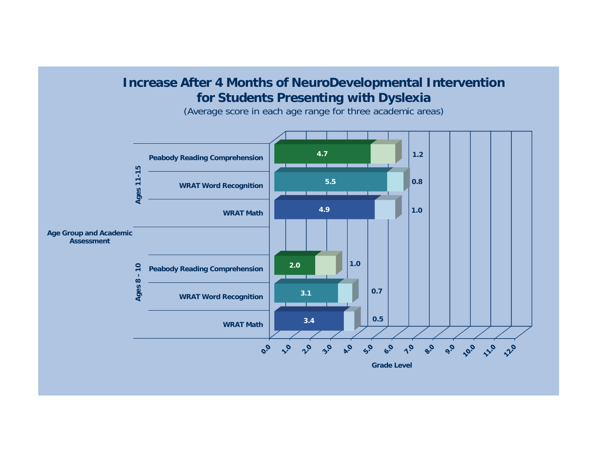## **Increase After 4 Months of NeuroDevelopmental Intervention for Students Presenting with Dyslexia**

**4.71.2Peabody Reading Comprehension** Ages 11-15 **Ages 8 - 10 Ages 11-15 5.5 0.8 WRAT Word Recognition 1.04.9 WRAT MathAge Group and Academic Assessment1.02.0** $\overline{10}$ **Peabody Reading Comprehension** Ages 8 -**0.7 3.1WRAT Word Recognition 0.53.4WRAT Math** $9.0$  $3^{\circ}$  $5^{\circ}$  $\Lambda$ <sup>o</sup>  $e^{0}$ 10.0 11.0 **220**  $\mathcal{S}_{o}$  $\mathcal{S}_{\lambda}$  $2^{\circ}$  $Q_{\rm A}$  $\mathcal{C}_{\mathcal{S}}$ **Grade Level**

(Average score in each age range for three academic areas)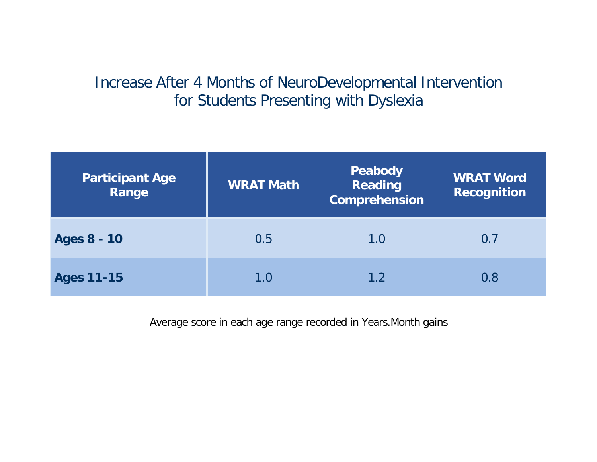## Increase After 4 Months of NeuroDevelopmental Intervention for Students Presenting with Dyslexia

| <b>Participant Age</b><br>Range | <b>WRAT Math</b> | Peabody<br><b>Reading</b><br><b>Comprehension</b> | <b>WRAT Word</b><br><b>Recognition</b> |
|---------------------------------|------------------|---------------------------------------------------|----------------------------------------|
| <b>Ages 8 - 10</b>              | 0.5              | 1.0                                               | 0.7                                    |
| <b>Ages 11-15</b>               | 1.0              | 1.2                                               | 0.8                                    |

Average score in each age range recorded in Years.Month gains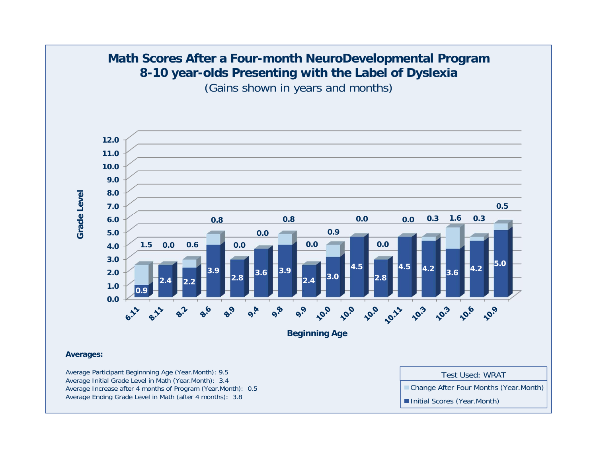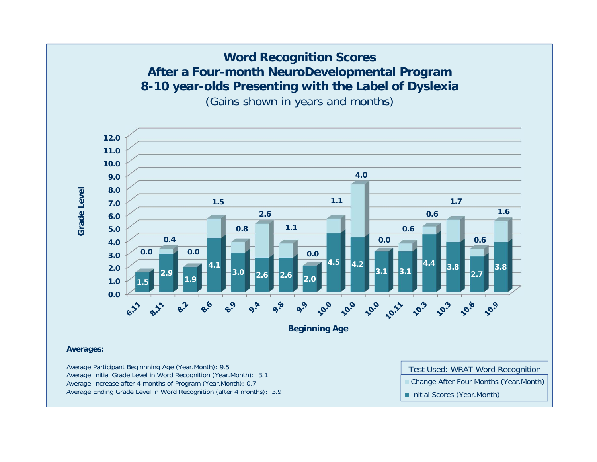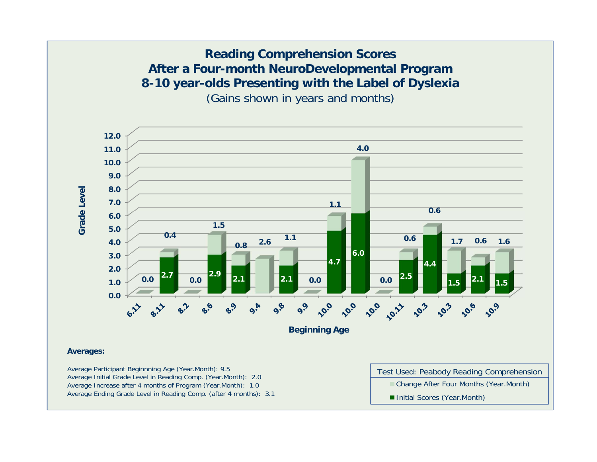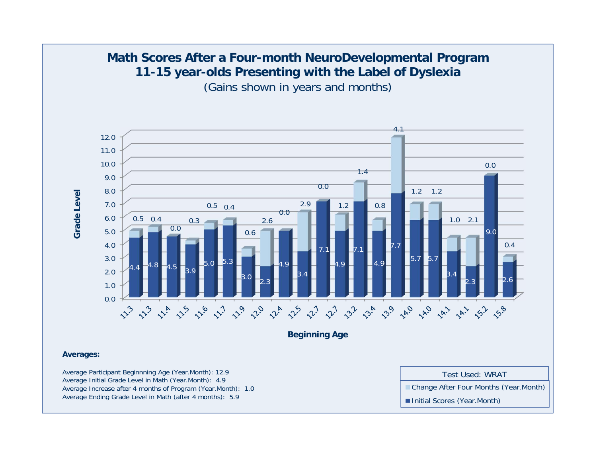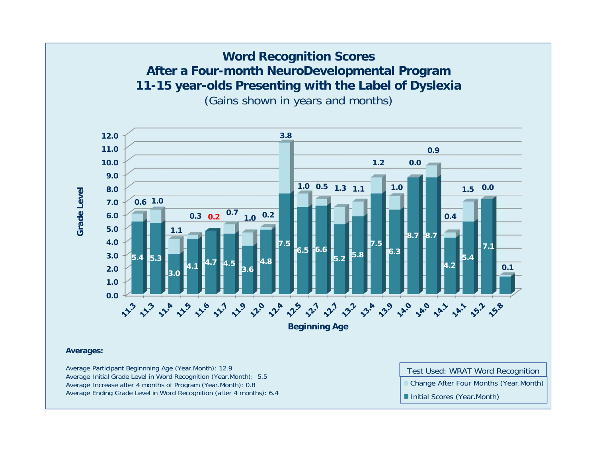